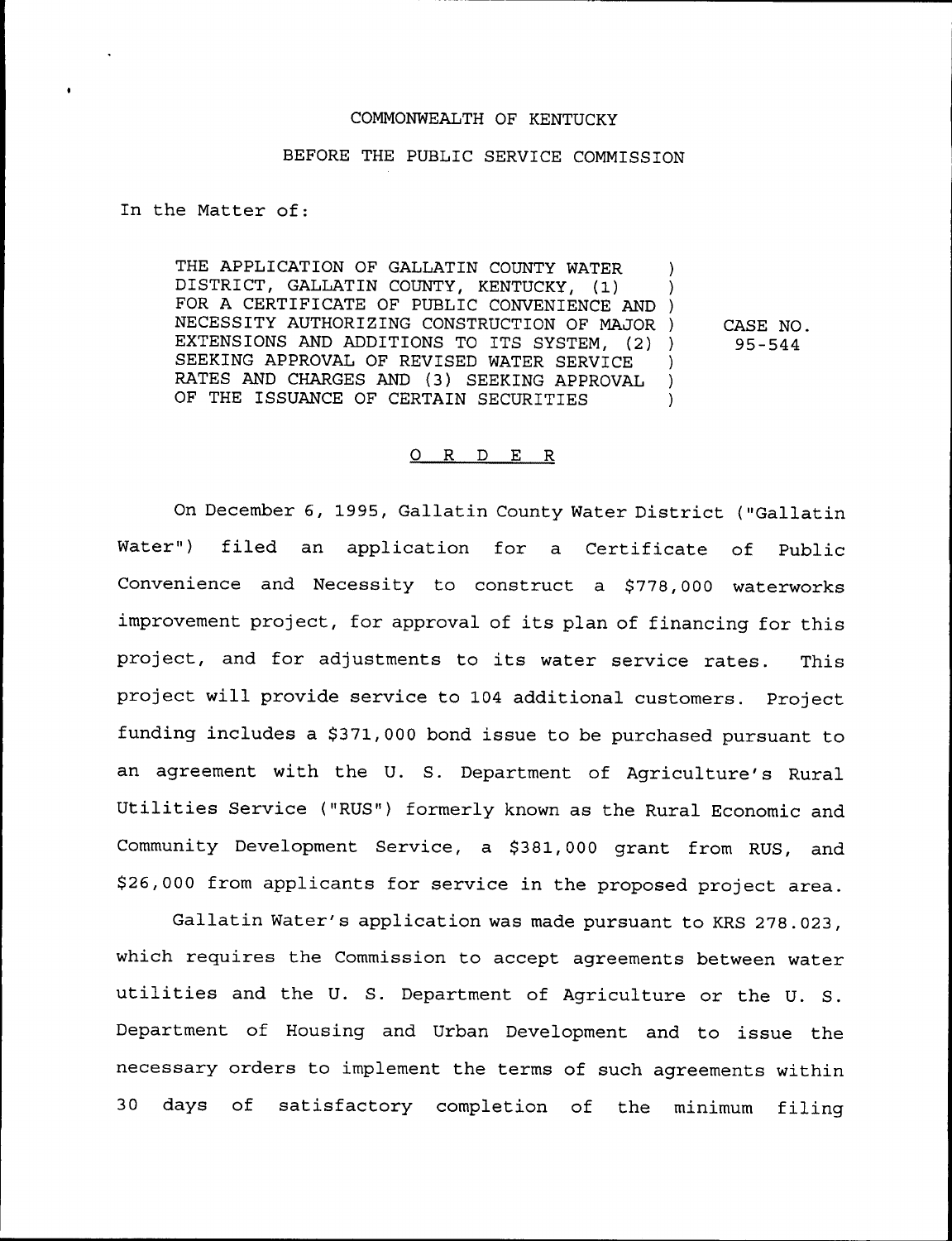#### COMMONWEALTH OF KENTUCKY

### BEFORE THE PUBLIC SERVICE COMMISSION

In the Matter of:

THE APPLICATION OF GALLATIN COUNTY WATER DISTRICT, GALLATIN COUNTY, KENTUCKY, (1) ) FOR <sup>A</sup> CERTIFICATE OF PUBLIC CONVENIENCE AND ) NECESSITY AUTHORIZING CONSTRUCTION OF MAJOR ) EXTENSIONS AND ADDITIONS TO ITS SYSTEM, (2) ) SEEKING APPROVAL OF REVISED WATER SERVICE ) RATES AND CHARGES AND (3) SEEKING APPROVAL )<br>OF THE ISSUANCE OF CERTAIN SECURITIES OF THE ISSUANCE OF CERTAIN SECURITIES

CASE NO. 95-544

#### O R D E R

On December 6, 1995, Gallatin County Water District ("Gallatin Water") filed an application for a Certificate of Public Convenience and Necessity to construct a \$778,000 waterworks improvement project, for approval of its plan of financing for this project, and for adjustments to its water service rates. This project will provide service to 104 additional customers. Project funding includes a \$371,000 bond issue to be purchased pursuant to an agreement with the U. S. Department of Agriculture's Rural Utilities Service ("RUS") formerly known as the Rural Economic and Community Development Service, a \$381,000 grant from RUS, and \$26,000 from applicants for service in the proposed project area.

Gallatin Water's application was made pursuant to KRS 278.023, which requires the Commission to accept agreements between water utilities and the U. S. Department of Agriculture or the U. S. Department of Housing and Urban Development and to issue the necessary orders to implement the terms of such agreements within 30 days of satisfactory completion of the minimum filing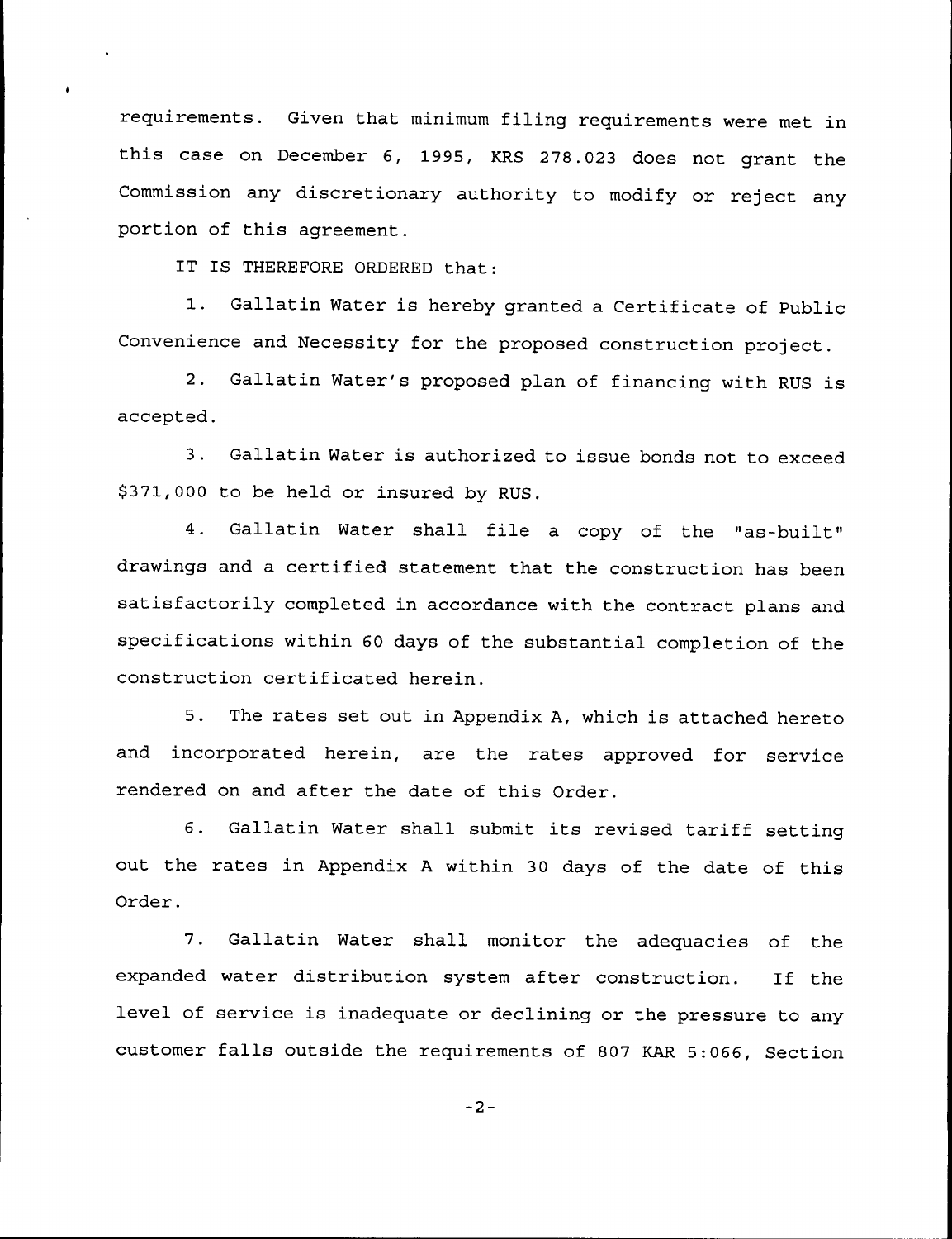requirements. Given that minimum filing requirements were met in this case on December 6, 1995, KRS 278.023 does not grant the Commission any discretionary authority to modify or reject any portion of this agreement.

IT IS THEREFORE ORDERED that:

1. Gallatin Water is hereby granted <sup>a</sup> Certificate of Public Convenience and Necessity for the proposed construction project.

2. Gallatin Water's proposed plan of financing with RUS is accepted.

3. Gallatin Water is authorized to issue bonds not to exceed \$ 371,000 to be held or insured by RUS.

4. Gallatin Water shall file a copy of the "as-built" drawings and a certified statement that the construction has been satisfactorily completed in accordance with the contract plans and specifications within 60 days of the substantial completion of the construction certificated herein.

5. The rates set out in Appendix A, which is attached hereto and incorporated herein, are the rates approved for service rendered on and after the date of this Order.

6. Gallatin Water shall submit its revised tariff setting out the rates in Appendix <sup>A</sup> within 30 days of the date of this Order.

7. Gallatin Water shall monitor the adequacies of the expanded water distribution system after construction. If the level of service is inadequate or declining or the pressure to any customer falls outside the requirements of <sup>807</sup> KAR 5:066, Section

 $-2-$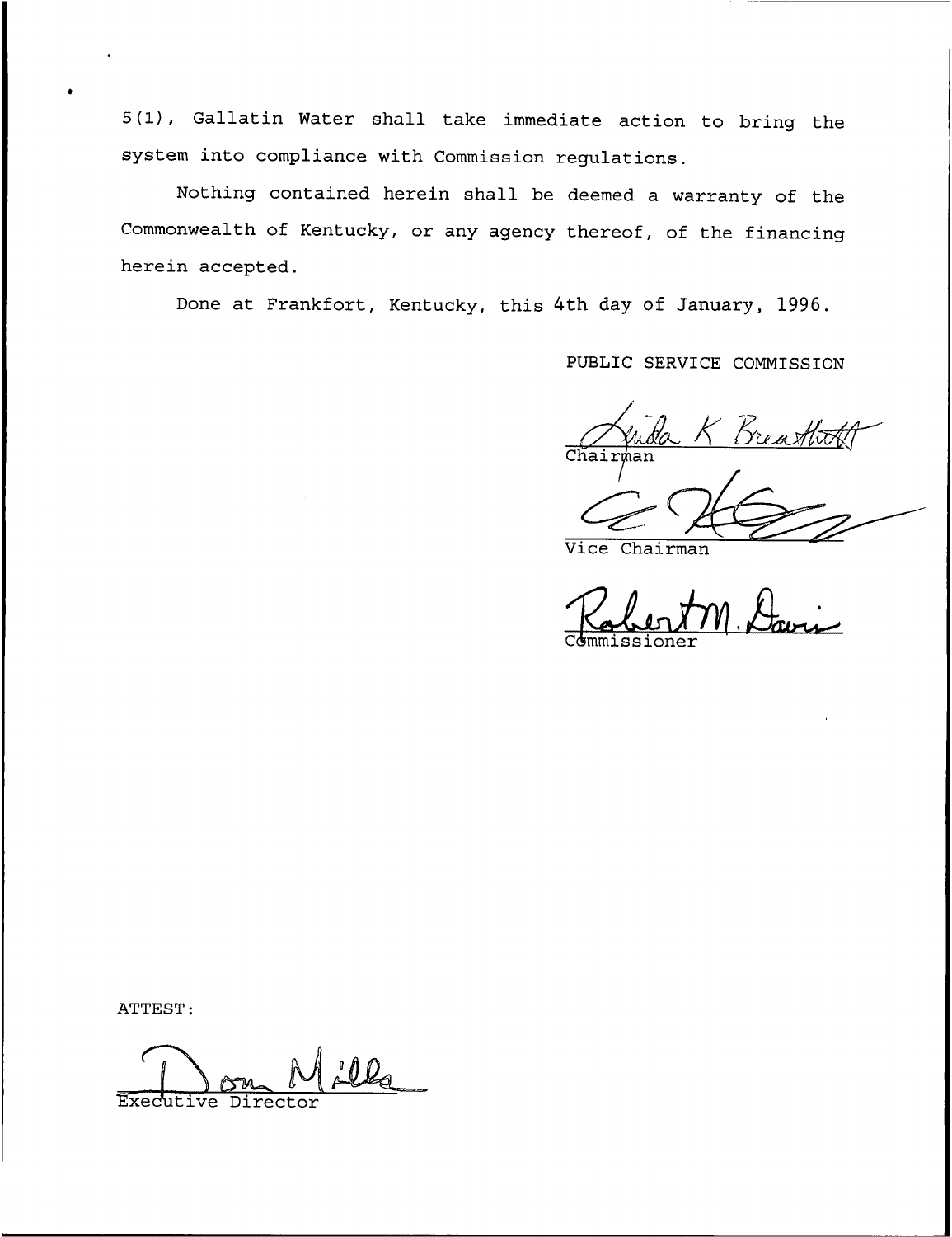5(1), Gallatin Water shall take immediate action to bring the system into compliance with Commission regulations.

Nothing contained herein shall be deemed a warranty of the Commonwealth of Kentucky, or any agency thereof, of the financing herein accepted.

Done at Frankfort, Kentucky, this 4th day of January, 1996.

PUBLIC SERVICE COMMISSION

 $Chair$ sr~

Vice Chairman

Commissione Vice Chairman<br>Palent M. Davis

ATTEST:

Executive Director